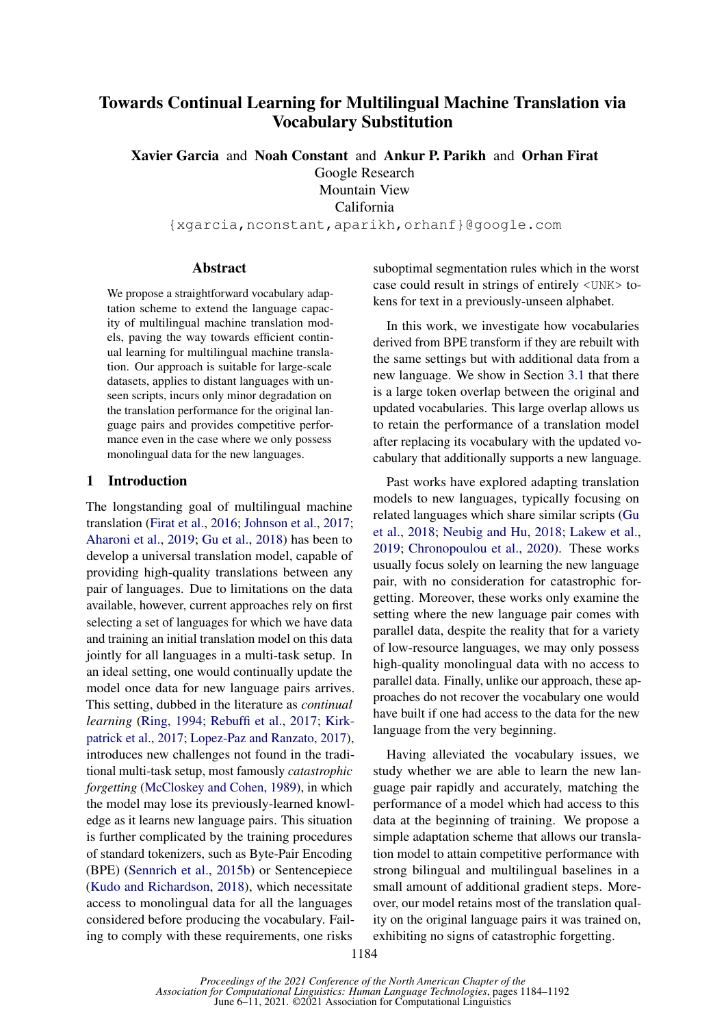# Towards Continual Learning for Multilingual Machine Translation via Vocabulary Substitution

Xavier Garcia and Noah Constant and Ankur P. Parikh and Orhan Firat Google Research Mountain View California {xgarcia,nconstant,aparikh,orhanf}@google.com

Abstract

We propose a straightforward vocabulary adaptation scheme to extend the language capacity of multilingual machine translation models, paving the way towards efficient continual learning for multilingual machine translation. Our approach is suitable for large-scale datasets, applies to distant languages with unseen scripts, incurs only minor degradation on the translation performance for the original language pairs and provides competitive performance even in the case where we only possess monolingual data for the new languages.

#### 1 Introduction

The longstanding goal of multilingual machine translation [\(Firat et al.,](#page-5-0) [2016;](#page-5-0) [Johnson et al.,](#page-5-1) [2017;](#page-5-1) [Aharoni et al.,](#page-4-0) [2019;](#page-4-0) [Gu et al.,](#page-5-2) [2018\)](#page-5-2) has been to develop a universal translation model, capable of providing high-quality translations between any pair of languages. Due to limitations on the data available, however, current approaches rely on first selecting a set of languages for which we have data and training an initial translation model on this data jointly for all languages in a multi-task setup. In an ideal setting, one would continually update the model once data for new language pairs arrives. This setting, dubbed in the literature as *continual learning* [\(Ring,](#page-6-0) [1994;](#page-6-0) [Rebuffi et al.,](#page-6-1) [2017;](#page-6-1) [Kirk](#page-5-3)[patrick et al.,](#page-5-3) [2017;](#page-5-3) [Lopez-Paz and Ranzato,](#page-5-4) [2017\)](#page-5-4), introduces new challenges not found in the traditional multi-task setup, most famously *catastrophic forgetting* [\(McCloskey and Cohen,](#page-5-5) [1989\)](#page-5-5), in which the model may lose its previously-learned knowledge as it learns new language pairs. This situation is further complicated by the training procedures of standard tokenizers, such as Byte-Pair Encoding (BPE) [\(Sennrich et al.,](#page-6-2) [2015b\)](#page-6-2) or Sentencepiece [\(Kudo and Richardson,](#page-5-6) [2018\)](#page-5-6), which necessitate access to monolingual data for all the languages considered before producing the vocabulary. Failing to comply with these requirements, one risks

suboptimal segmentation rules which in the worst case could result in strings of entirely <UNK> tokens for text in a previously-unseen alphabet.

In this work, we investigate how vocabularies derived from BPE transform if they are rebuilt with the same settings but with additional data from a new language. We show in Section [3.1](#page-2-0) that there is a large token overlap between the original and updated vocabularies. This large overlap allows us to retain the performance of a translation model after replacing its vocabulary with the updated vocabulary that additionally supports a new language.

Past works have explored adapting translation models to new languages, typically focusing on related languages which share similar scripts [\(Gu](#page-5-2) [et al.,](#page-5-2) [2018;](#page-5-2) [Neubig and Hu,](#page-5-7) [2018;](#page-5-7) [Lakew et al.,](#page-5-8) [2019;](#page-5-8) [Chronopoulou et al.,](#page-4-1) [2020\)](#page-4-1). These works usually focus solely on learning the new language pair, with no consideration for catastrophic forgetting. Moreover, these works only examine the setting where the new language pair comes with parallel data, despite the reality that for a variety of low-resource languages, we may only possess high-quality monolingual data with no access to parallel data. Finally, unlike our approach, these approaches do not recover the vocabulary one would have built if one had access to the data for the new language from the very beginning.

Having alleviated the vocabulary issues, we study whether we are able to learn the new language pair rapidly and accurately, matching the performance of a model which had access to this data at the beginning of training. We propose a simple adaptation scheme that allows our translation model to attain competitive performance with strong bilingual and multilingual baselines in a small amount of additional gradient steps. Moreover, our model retains most of the translation quality on the original language pairs it was trained on, exhibiting no signs of catastrophic forgetting.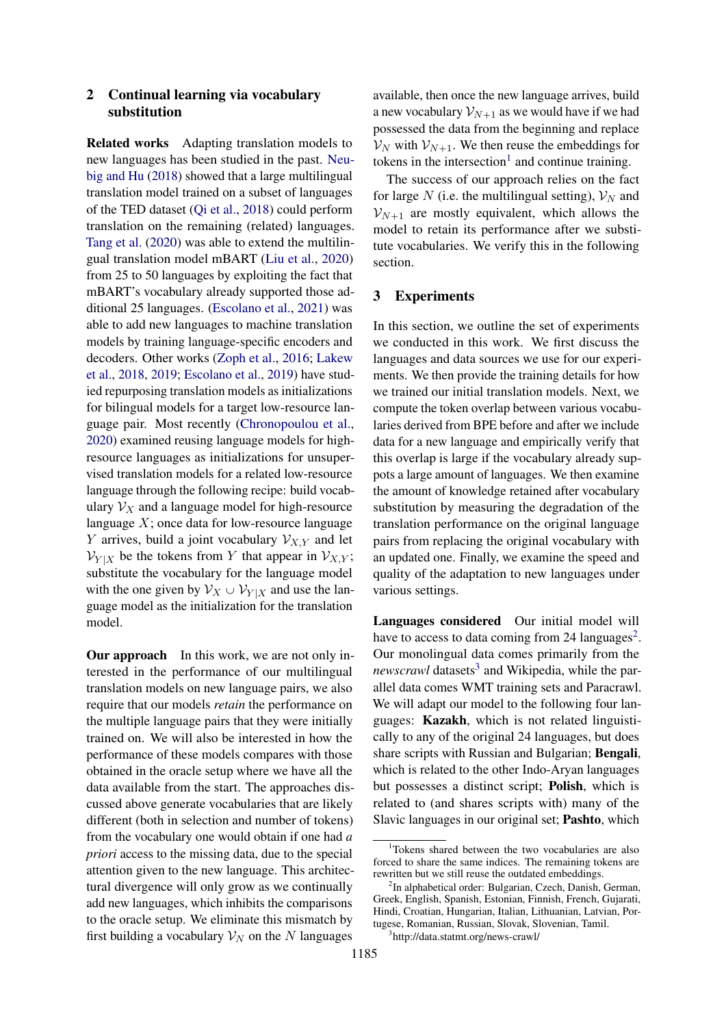### 2 Continual learning via vocabulary substitution

Related works Adapting translation models to new languages has been studied in the past. [Neu](#page-5-7)[big and Hu](#page-5-7) [\(2018\)](#page-5-7) showed that a large multilingual translation model trained on a subset of languages of the TED dataset [\(Qi et al.,](#page-5-9) [2018\)](#page-5-9) could perform translation on the remaining (related) languages. [Tang et al.](#page-6-3) [\(2020\)](#page-6-3) was able to extend the multilingual translation model mBART [\(Liu et al.,](#page-5-10) [2020\)](#page-5-10) from 25 to 50 languages by exploiting the fact that mBART's vocabulary already supported those additional 25 languages. [\(Escolano et al.,](#page-5-11) [2021\)](#page-5-11) was able to add new languages to machine translation models by training language-specific encoders and decoders. Other works [\(Zoph et al.,](#page-6-4) [2016;](#page-6-4) [Lakew](#page-5-12) [et al.,](#page-5-12) [2018,](#page-5-12) [2019;](#page-5-8) [Escolano et al.,](#page-4-2) [2019\)](#page-4-2) have studied repurposing translation models as initializations for bilingual models for a target low-resource language pair. Most recently [\(Chronopoulou et al.,](#page-4-1) [2020\)](#page-4-1) examined reusing language models for highresource languages as initializations for unsupervised translation models for a related low-resource language through the following recipe: build vocabulary  $V_X$  and a language model for high-resource language  $X$ ; once data for low-resource language Y arrives, build a joint vocabulary  $V_{X,Y}$  and let  $V_{Y|X}$  be the tokens from Y that appear in  $V_{X,Y}$ ; substitute the vocabulary for the language model with the one given by  $V_X \cup V_{Y|X}$  and use the language model as the initialization for the translation model.

Our approach In this work, we are not only interested in the performance of our multilingual translation models on new language pairs, we also require that our models *retain* the performance on the multiple language pairs that they were initially trained on. We will also be interested in how the performance of these models compares with those obtained in the oracle setup where we have all the data available from the start. The approaches discussed above generate vocabularies that are likely different (both in selection and number of tokens) from the vocabulary one would obtain if one had *a priori* access to the missing data, due to the special attention given to the new language. This architectural divergence will only grow as we continually add new languages, which inhibits the comparisons to the oracle setup. We eliminate this mismatch by first building a vocabulary  $\mathcal{V}_N$  on the N languages

available, then once the new language arrives, build a new vocabulary  $\mathcal{V}_{N+1}$  as we would have if we had possessed the data from the beginning and replace  $V_N$  with  $V_{N+1}$ . We then reuse the embeddings for tokens in the intersection<sup>[1](#page-1-0)</sup> and continue training.

The success of our approach relies on the fact for large N (i.e. the multilingual setting),  $V_N$  and  $V_{N+1}$  are mostly equivalent, which allows the model to retain its performance after we substitute vocabularies. We verify this in the following section.

#### 3 Experiments

In this section, we outline the set of experiments we conducted in this work. We first discuss the languages and data sources we use for our experiments. We then provide the training details for how we trained our initial translation models. Next, we compute the token overlap between various vocabularies derived from BPE before and after we include data for a new language and empirically verify that this overlap is large if the vocabulary already suppots a large amount of languages. We then examine the amount of knowledge retained after vocabulary substitution by measuring the degradation of the translation performance on the original language pairs from replacing the original vocabulary with an updated one. Finally, we examine the speed and quality of the adaptation to new languages under various settings.

Languages considered Our initial model will have to access to data coming from [2](#page-1-1)4 languages<sup>2</sup>. Our monolingual data comes primarily from the newscrawl datasets<sup>[3](#page-1-2)</sup> and Wikipedia, while the parallel data comes WMT training sets and Paracrawl. We will adapt our model to the following four languages: Kazakh, which is not related linguistically to any of the original 24 languages, but does share scripts with Russian and Bulgarian; Bengali, which is related to the other Indo-Aryan languages but possesses a distinct script; Polish, which is related to (and shares scripts with) many of the Slavic languages in our original set; Pashto, which

<span id="page-1-0"></span><sup>&</sup>lt;sup>1</sup>Tokens shared between the two vocabularies are also forced to share the same indices. The remaining tokens are rewritten but we still reuse the outdated embeddings.

<span id="page-1-1"></span><sup>&</sup>lt;sup>2</sup>In alphabetical order: Bulgarian, Czech, Danish, German, Greek, English, Spanish, Estonian, Finnish, French, Gujarati, Hindi, Croatian, Hungarian, Italian, Lithuanian, Latvian, Portugese, Romanian, Russian, Slovak, Slovenian, Tamil.

<span id="page-1-2"></span><sup>3</sup> http://data.statmt.org/news-crawl/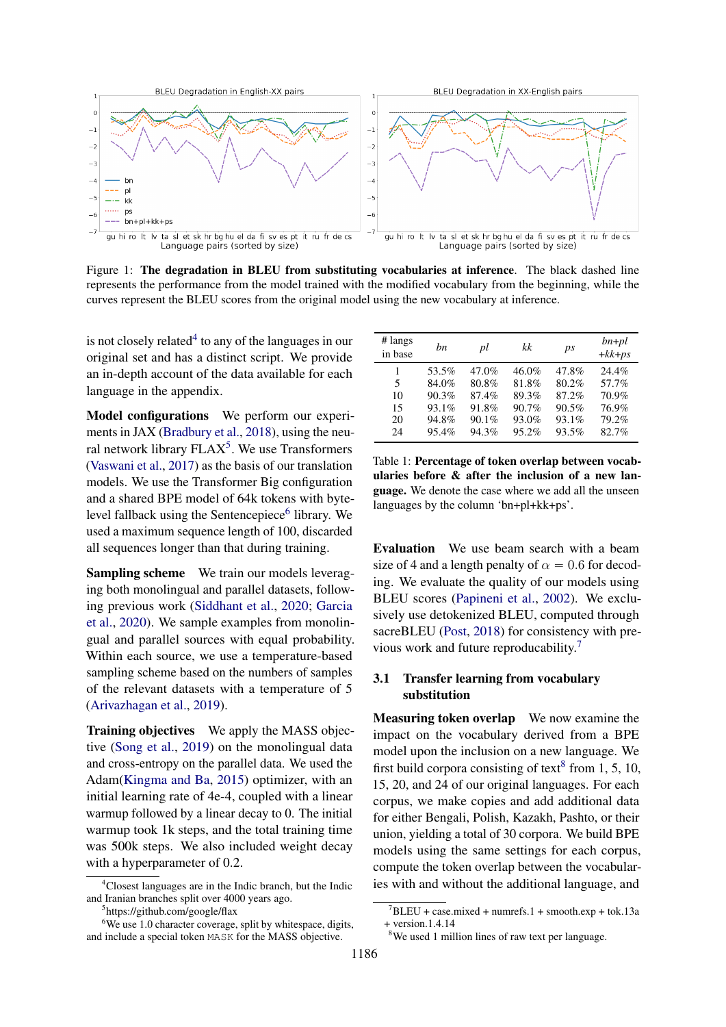<span id="page-2-7"></span>

Figure 1: The degradation in BLEU from substituting vocabularies at inference. The black dashed line represents the performance from the model trained with the modified vocabulary from the beginning, while the curves represent the BLEU scores from the original model using the new vocabulary at inference.

is not closely related $4$  to any of the languages in our original set and has a distinct script. We provide an in-depth account of the data available for each language in the appendix.

Model configurations We perform our experiments in JAX [\(Bradbury et al.,](#page-4-3) [2018\)](#page-4-3), using the neural network library  $FLAX<sup>5</sup>$  $FLAX<sup>5</sup>$  $FLAX<sup>5</sup>$ . We use Transformers [\(Vaswani et al.,](#page-6-5) [2017\)](#page-6-5) as the basis of our translation models. We use the Transformer Big configuration and a shared BPE model of 64k tokens with byte-level fallback using the Sentencepiece<sup>[6](#page-2-3)</sup> library. We used a maximum sequence length of 100, discarded all sequences longer than that during training.

Sampling scheme We train our models leveraging both monolingual and parallel datasets, following previous work [\(Siddhant et al.,](#page-6-6) [2020;](#page-6-6) [Garcia](#page-5-13) [et al.,](#page-5-13) [2020\)](#page-5-13). We sample examples from monolingual and parallel sources with equal probability. Within each source, we use a temperature-based sampling scheme based on the numbers of samples of the relevant datasets with a temperature of 5 [\(Arivazhagan et al.,](#page-4-4) [2019\)](#page-4-4).

Training objectives We apply the MASS objective [\(Song et al.,](#page-6-7) [2019\)](#page-6-7) on the monolingual data and cross-entropy on the parallel data. We used the Adam[\(Kingma and Ba,](#page-5-14) [2015\)](#page-5-14) optimizer, with an initial learning rate of 4e-4, coupled with a linear warmup followed by a linear decay to 0. The initial warmup took 1k steps, and the total training time was 500k steps. We also included weight decay with a hyperparameter of 0.2.

<span id="page-2-6"></span>

| # langs<br>in base | hn    | pl    | kk    | ps    | $bn+pl$<br>$+kk+ps$ |
|--------------------|-------|-------|-------|-------|---------------------|
| 1                  | 53.5% | 47.0% | 46.0% | 47.8% | 24.4%               |
| 5                  | 84.0% | 80.8% | 81.8% | 80.2% | 57.7%               |
| 10                 | 90.3% | 87.4% | 89.3% | 87.2% | 70.9%               |
| 15                 | 93.1% | 91.8% | 90.7% | 90.5% | 76.9%               |
| 20                 | 94.8% | 90.1% | 93.0% | 93.1% | 79.2%               |
| 24                 | 95.4% | 94.3% | 95.2% | 93.5% | 82.7%               |

Table 1: Percentage of token overlap between vocabularies before & after the inclusion of a new language. We denote the case where we add all the unseen languages by the column 'bn+pl+kk+ps'.

Evaluation We use beam search with a beam size of 4 and a length penalty of  $\alpha = 0.6$  for decoding. We evaluate the quality of our models using BLEU scores [\(Papineni et al.,](#page-5-15) [2002\)](#page-5-15). We exclusively use detokenized BLEU, computed through sacreBLEU [\(Post,](#page-5-16) [2018\)](#page-5-16) for consistency with previous work and future reproducability.[7](#page-2-4)

### <span id="page-2-0"></span>3.1 Transfer learning from vocabulary substitution

Measuring token overlap We now examine the impact on the vocabulary derived from a BPE model upon the inclusion on a new language. We first build corpora consisting of text<sup>[8](#page-2-5)</sup> from 1, 5, 10, 15, 20, and 24 of our original languages. For each corpus, we make copies and add additional data for either Bengali, Polish, Kazakh, Pashto, or their union, yielding a total of 30 corpora. We build BPE models using the same settings for each corpus, compute the token overlap between the vocabularies with and without the additional language, and

<span id="page-2-1"></span><sup>&</sup>lt;sup>4</sup>Closest languages are in the Indic branch, but the Indic and Iranian branches split over 4000 years ago.

<span id="page-2-3"></span><span id="page-2-2"></span><sup>5</sup> https://github.com/google/flax

 $6$ We use 1.0 character coverage, split by whitespace, digits, and include a special token MASK for the MASS objective.

<span id="page-2-4"></span> $7$ BLEU + case.mixed + numrefs.1 + smooth.exp + tok.13a + version.1.4.14

<span id="page-2-5"></span><sup>&</sup>lt;sup>8</sup>We used 1 million lines of raw text per language.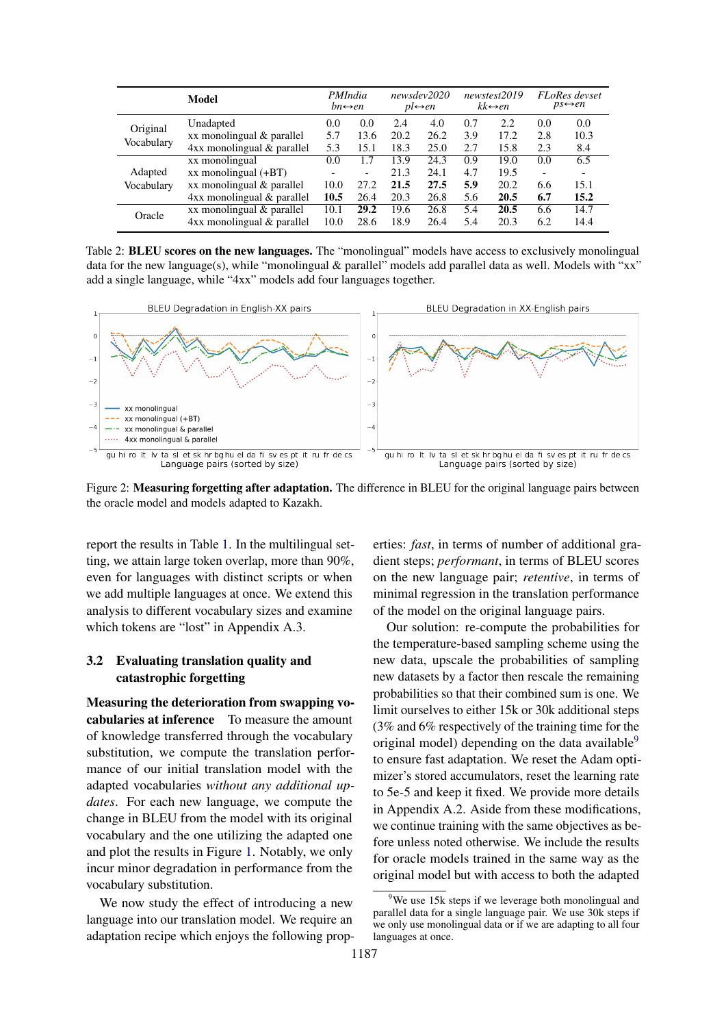<span id="page-3-1"></span>

|            | Model                          | <i>PMIndia</i><br>$bn \leftrightarrow en$ |                          |      | newsdev2020<br>$pl \leftrightarrow en$ |     | newstest2019<br>$kk \leftrightarrow en$ |                          | <b>FLoRes</b> devset<br>$ps \leftrightarrow en$ |
|------------|--------------------------------|-------------------------------------------|--------------------------|------|----------------------------------------|-----|-----------------------------------------|--------------------------|-------------------------------------------------|
| Original   | Unadapted                      | 0.0                                       | 0.0                      | 2.4  | 4.0                                    | 0.7 | 2.2                                     | 0.0                      | 0.0                                             |
|            | xx monolingual & parallel      | 5.7                                       | 13.6                     | 20.2 | 26.2                                   | 3.9 | 17.2                                    | 2.8                      | 10.3                                            |
| Vocabulary | $4xx$ monolingual $&$ parallel | 5.3                                       | 15.1                     | 18.3 | 25.0                                   | 2.7 | 15.8                                    | 2.3                      | 8.4                                             |
|            | xx monolingual                 | 0.0                                       | 1.7                      | 13.9 | 24.3                                   | 0.9 | 19.0                                    | 0.0                      | 6.5                                             |
| Adapted    | $xx$ monolingual $(+BT)$       | $\overline{\phantom{0}}$                  | $\overline{\phantom{0}}$ | 21.3 | 24.1                                   | 4.7 | 19.5                                    | $\overline{\phantom{0}}$ |                                                 |
| Vocabulary | xx monolingual & parallel      | 10.0                                      | 27.2                     | 21.5 | 27.5                                   | 5.9 | 20.2                                    | 6.6                      | 15.1                                            |
|            | $4xx$ monolingual $&$ parallel | 10.5                                      | 26.4                     | 20.3 | 26.8                                   | 5.6 | 20.5                                    | 6.7                      | 15.2                                            |
| Oracle     | xx monolingual & parallel      | 10.1                                      | 29.2                     | 19.6 | 26.8                                   | 5.4 | 20.5                                    | 6.6                      | 14.7                                            |
|            | $4xx$ monolingual $&$ parallel | 10.0                                      | 28.6                     | 18.9 | 26.4                                   | 5.4 | 20.3                                    | 6.2                      | 14.4                                            |

Table 2: **BLEU scores on the new languages.** The "monolingual" models have access to exclusively monolingual data for the new language(s), while "monolingual & parallel" models add parallel data as well. Models with "xx" add a single language, while "4xx" models add four languages together.

<span id="page-3-2"></span>

Figure 2: **Measuring forgetting after adaptation.** The difference in BLEU for the original language pairs between the oracle model and models adapted to Kazakh.

report the results in Table [1.](#page-2-6) In the multilingual setting, we attain large token overlap, more than 90%, even for languages with distinct scripts or when we add multiple languages at once. We extend this analysis to different vocabulary sizes and examine which tokens are "lost" in Appendix A.3.

#### 3.2 Evaluating translation quality and catastrophic forgetting

Measuring the deterioration from swapping vocabularies at inference To measure the amount of knowledge transferred through the vocabulary substitution, we compute the translation performance of our initial translation model with the adapted vocabularies *without any additional updates*. For each new language, we compute the change in BLEU from the model with its original vocabulary and the one utilizing the adapted one and plot the results in Figure [1.](#page-2-7) Notably, we only incur minor degradation in performance from the vocabulary substitution.

We now study the effect of introducing a new language into our translation model. We require an adaptation recipe which enjoys the following properties: *fast*, in terms of number of additional gradient steps; *performant*, in terms of BLEU scores on the new language pair; *retentive*, in terms of minimal regression in the translation performance of the model on the original language pairs.

Our solution: re-compute the probabilities for the temperature-based sampling scheme using the new data, upscale the probabilities of sampling new datasets by a factor then rescale the remaining probabilities so that their combined sum is one. We limit ourselves to either 15k or 30k additional steps (3% and 6% respectively of the training time for the original model) depending on the data available $9$ to ensure fast adaptation. We reset the Adam optimizer's stored accumulators, reset the learning rate to 5e-5 and keep it fixed. We provide more details in Appendix A.2. Aside from these modifications, we continue training with the same objectives as before unless noted otherwise. We include the results for oracle models trained in the same way as the original model but with access to both the adapted

<span id="page-3-0"></span><sup>&</sup>lt;sup>9</sup>We use 15k steps if we leverage both monolingual and parallel data for a single language pair. We use 30k steps if we only use monolingual data or if we are adapting to all four languages at once.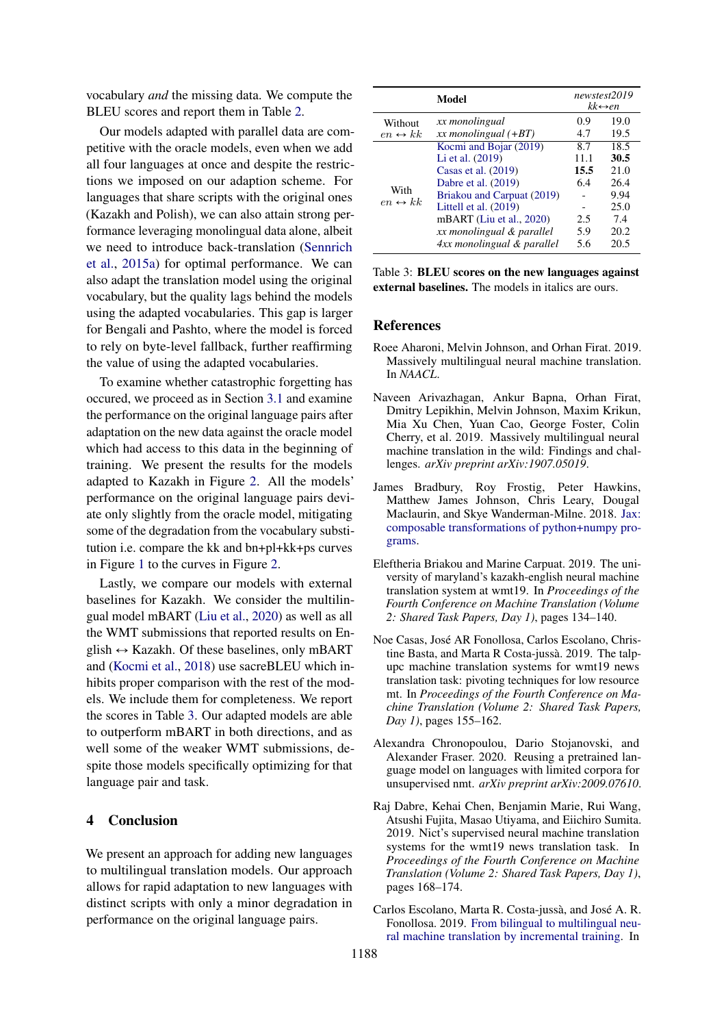vocabulary *and* the missing data. We compute the BLEU scores and report them in Table [2.](#page-3-1)

Our models adapted with parallel data are competitive with the oracle models, even when we add all four languages at once and despite the restrictions we imposed on our adaption scheme. For languages that share scripts with the original ones (Kazakh and Polish), we can also attain strong performance leveraging monolingual data alone, albeit we need to introduce back-translation [\(Sennrich](#page-6-8) [et al.,](#page-6-8) [2015a\)](#page-6-8) for optimal performance. We can also adapt the translation model using the original vocabulary, but the quality lags behind the models using the adapted vocabularies. This gap is larger for Bengali and Pashto, where the model is forced to rely on byte-level fallback, further reaffirming the value of using the adapted vocabularies.

To examine whether catastrophic forgetting has occured, we proceed as in Section [3.1](#page-2-0) and examine the performance on the original language pairs after adaptation on the new data against the oracle model which had access to this data in the beginning of training. We present the results for the models adapted to Kazakh in Figure [2.](#page-3-2) All the models' performance on the original language pairs deviate only slightly from the oracle model, mitigating some of the degradation from the vocabulary substitution i.e. compare the kk and bn+pl+kk+ps curves in Figure [1](#page-2-7) to the curves in Figure [2.](#page-3-2)

Lastly, we compare our models with external baselines for Kazakh. We consider the multilingual model mBART [\(Liu et al.,](#page-5-10) [2020\)](#page-5-10) as well as all the WMT submissions that reported results on English  $\leftrightarrow$  Kazakh. Of these baselines, only mBART and [\(Kocmi et al.,](#page-5-17) [2018\)](#page-5-17) use sacreBLEU which inhibits proper comparison with the rest of the models. We include them for completeness. We report the scores in Table [3.](#page-4-5) Our adapted models are able to outperform mBART in both directions, and as well some of the weaker WMT submissions, despite those models specifically optimizing for that language pair and task.

### 4 Conclusion

We present an approach for adding new languages to multilingual translation models. Our approach allows for rapid adaptation to new languages with distinct scripts with only a minor degradation in performance on the original language pairs.

<span id="page-4-5"></span>

|                                 | Model                      |      | newstest2019<br>$kk \leftrightarrow en$ |
|---------------------------------|----------------------------|------|-----------------------------------------|
| Without                         | xx monolingual             | 0.9  | 19.0                                    |
| $en \leftrightarrow kk$         | $xx$ monolingual $(+BT)$   | 4.7  | 19.5                                    |
|                                 | Kocmi and Bojar (2019)     | 8.7  | 18.5                                    |
|                                 | Li et al. (2019)           | 11.1 | 30.5                                    |
|                                 | Casas et al. $(2019)$      | 15.5 | 21.0                                    |
|                                 | Dabre et al. (2019)        | 6.4  | 26.4                                    |
| With<br>$en \leftrightarrow kk$ | Briakou and Carpuat (2019) |      | 9.94                                    |
|                                 | Littell et al. (2019)      |      | 25.0                                    |
|                                 | mBART (Liu et al., 2020)   | 2.5  | 7.4                                     |
|                                 | xx monolingual & parallel  | 5.9  | 20.2                                    |
|                                 | 4xx monolingual & parallel | 5.6  | 20.5                                    |

Table 3: BLEU scores on the new languages against external baselines. The models in italics are ours.

#### References

- <span id="page-4-0"></span>Roee Aharoni, Melvin Johnson, and Orhan Firat. 2019. Massively multilingual neural machine translation. In *NAACL*.
- <span id="page-4-4"></span>Naveen Arivazhagan, Ankur Bapna, Orhan Firat, Dmitry Lepikhin, Melvin Johnson, Maxim Krikun, Mia Xu Chen, Yuan Cao, George Foster, Colin Cherry, et al. 2019. Massively multilingual neural machine translation in the wild: Findings and challenges. *arXiv preprint arXiv:1907.05019*.
- <span id="page-4-3"></span>James Bradbury, Roy Frostig, Peter Hawkins, Matthew James Johnson, Chris Leary, Dougal Maclaurin, and Skye Wanderman-Milne. 2018. [Jax:](http://github.com/google/jax) [composable transformations of python+numpy pro](http://github.com/google/jax)[grams.](http://github.com/google/jax)
- <span id="page-4-8"></span>Eleftheria Briakou and Marine Carpuat. 2019. The university of maryland's kazakh-english neural machine translation system at wmt19. In *Proceedings of the Fourth Conference on Machine Translation (Volume 2: Shared Task Papers, Day 1)*, pages 134–140.
- <span id="page-4-6"></span>Noe Casas, José AR Fonollosa, Carlos Escolano, Christine Basta, and Marta R Costa-jussà. 2019. The talpupc machine translation systems for wmt19 news translation task: pivoting techniques for low resource mt. In *Proceedings of the Fourth Conference on Machine Translation (Volume 2: Shared Task Papers, Day 1)*, pages 155–162.
- <span id="page-4-1"></span>Alexandra Chronopoulou, Dario Stojanovski, and Alexander Fraser. 2020. Reusing a pretrained language model on languages with limited corpora for unsupervised nmt. *arXiv preprint arXiv:2009.07610*.
- <span id="page-4-7"></span>Raj Dabre, Kehai Chen, Benjamin Marie, Rui Wang, Atsushi Fujita, Masao Utiyama, and Eiichiro Sumita. 2019. Nict's supervised neural machine translation systems for the wmt19 news translation task. In *Proceedings of the Fourth Conference on Machine Translation (Volume 2: Shared Task Papers, Day 1)*, pages 168–174.
- <span id="page-4-2"></span>Carlos Escolano, Marta R. Costa-jussà, and José A. R. Fonollosa. 2019. [From bilingual to multilingual neu](https://doi.org/10.18653/v1/P19-2033)[ral machine translation by incremental training.](https://doi.org/10.18653/v1/P19-2033) In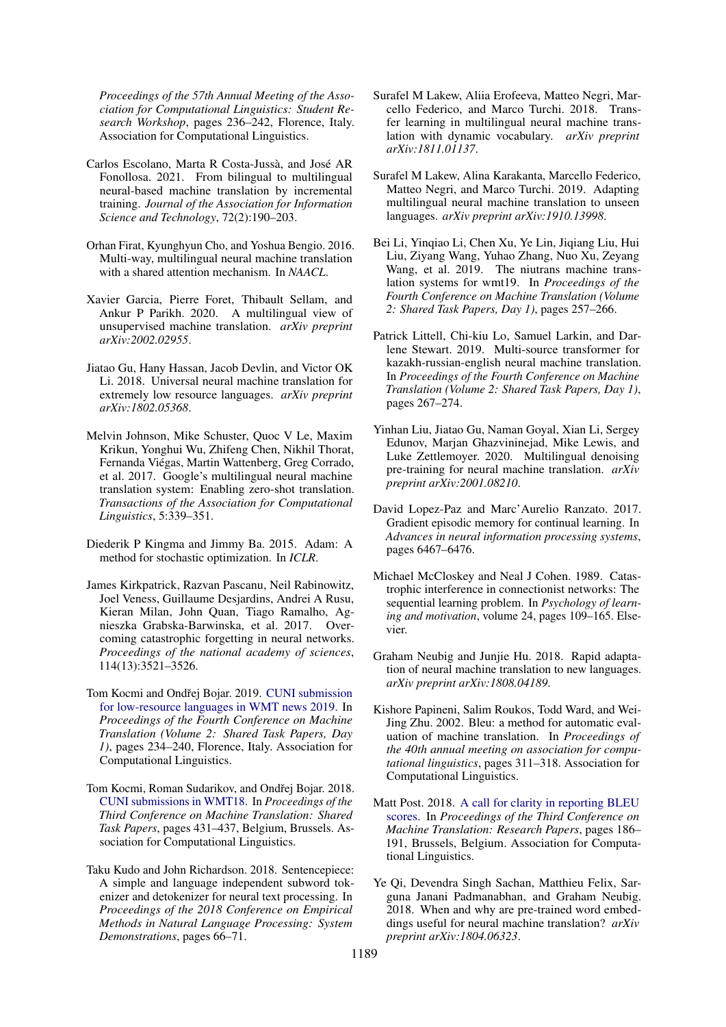*Proceedings of the 57th Annual Meeting of the Association for Computational Linguistics: Student Research Workshop*, pages 236–242, Florence, Italy. Association for Computational Linguistics.

- <span id="page-5-11"></span>Carlos Escolano, Marta R Costa-Jussà, and José AR Fonollosa. 2021. From bilingual to multilingual neural-based machine translation by incremental training. *Journal of the Association for Information Science and Technology*, 72(2):190–203.
- <span id="page-5-0"></span>Orhan Firat, Kyunghyun Cho, and Yoshua Bengio. 2016. Multi-way, multilingual neural machine translation with a shared attention mechanism. In *NAACL*.
- <span id="page-5-13"></span>Xavier Garcia, Pierre Foret, Thibault Sellam, and Ankur P Parikh. 2020. A multilingual view of unsupervised machine translation. *arXiv preprint arXiv:2002.02955*.
- <span id="page-5-2"></span>Jiatao Gu, Hany Hassan, Jacob Devlin, and Victor OK Li. 2018. Universal neural machine translation for extremely low resource languages. *arXiv preprint arXiv:1802.05368*.
- <span id="page-5-1"></span>Melvin Johnson, Mike Schuster, Quoc V Le, Maxim Krikun, Yonghui Wu, Zhifeng Chen, Nikhil Thorat, Fernanda Viégas, Martin Wattenberg, Greg Corrado, et al. 2017. Google's multilingual neural machine translation system: Enabling zero-shot translation. *Transactions of the Association for Computational Linguistics*, 5:339–351.
- <span id="page-5-14"></span>Diederik P Kingma and Jimmy Ba. 2015. Adam: A method for stochastic optimization. In *ICLR*.
- <span id="page-5-3"></span>James Kirkpatrick, Razvan Pascanu, Neil Rabinowitz, Joel Veness, Guillaume Desjardins, Andrei A Rusu, Kieran Milan, John Quan, Tiago Ramalho, Agnieszka Grabska-Barwinska, et al. 2017. Overcoming catastrophic forgetting in neural networks. *Proceedings of the national academy of sciences*, 114(13):3521–3526.
- <span id="page-5-18"></span>Tom Kocmi and Ondřej Bojar. 2019. [CUNI submission](https://doi.org/10.18653/v1/W19-5322) [for low-resource languages in WMT news 2019.](https://doi.org/10.18653/v1/W19-5322) In *Proceedings of the Fourth Conference on Machine Translation (Volume 2: Shared Task Papers, Day 1)*, pages 234–240, Florence, Italy. Association for Computational Linguistics.
- <span id="page-5-17"></span>Tom Kocmi, Roman Sudarikov, and Ondřej Bojar. 2018. [CUNI submissions in WMT18.](https://doi.org/10.18653/v1/W18-6416) In *Proceedings of the Third Conference on Machine Translation: Shared Task Papers*, pages 431–437, Belgium, Brussels. Association for Computational Linguistics.
- <span id="page-5-6"></span>Taku Kudo and John Richardson. 2018. Sentencepiece: A simple and language independent subword tokenizer and detokenizer for neural text processing. In *Proceedings of the 2018 Conference on Empirical Methods in Natural Language Processing: System Demonstrations*, pages 66–71.
- <span id="page-5-12"></span>Surafel M Lakew, Aliia Erofeeva, Matteo Negri, Marcello Federico, and Marco Turchi. 2018. Transfer learning in multilingual neural machine translation with dynamic vocabulary. *arXiv preprint arXiv:1811.01137*.
- <span id="page-5-8"></span>Surafel M Lakew, Alina Karakanta, Marcello Federico, Matteo Negri, and Marco Turchi. 2019. Adapting multilingual neural machine translation to unseen languages. *arXiv preprint arXiv:1910.13998*.
- <span id="page-5-19"></span>Bei Li, Yinqiao Li, Chen Xu, Ye Lin, Jiqiang Liu, Hui Liu, Ziyang Wang, Yuhao Zhang, Nuo Xu, Zeyang Wang, et al. 2019. The niutrans machine translation systems for wmt19. In *Proceedings of the Fourth Conference on Machine Translation (Volume 2: Shared Task Papers, Day 1)*, pages 257–266.
- <span id="page-5-20"></span>Patrick Littell, Chi-kiu Lo, Samuel Larkin, and Darlene Stewart. 2019. Multi-source transformer for kazakh-russian-english neural machine translation. In *Proceedings of the Fourth Conference on Machine Translation (Volume 2: Shared Task Papers, Day 1)*, pages 267–274.
- <span id="page-5-10"></span>Yinhan Liu, Jiatao Gu, Naman Goyal, Xian Li, Sergey Edunov, Marjan Ghazvininejad, Mike Lewis, and Luke Zettlemoyer. 2020. Multilingual denoising pre-training for neural machine translation. *arXiv preprint arXiv:2001.08210*.
- <span id="page-5-4"></span>David Lopez-Paz and Marc'Aurelio Ranzato. 2017. Gradient episodic memory for continual learning. In *Advances in neural information processing systems*, pages 6467–6476.
- <span id="page-5-5"></span>Michael McCloskey and Neal J Cohen. 1989. Catastrophic interference in connectionist networks: The sequential learning problem. In *Psychology of learning and motivation*, volume 24, pages 109–165. Elsevier.
- <span id="page-5-7"></span>Graham Neubig and Junjie Hu. 2018. Rapid adaptation of neural machine translation to new languages. *arXiv preprint arXiv:1808.04189*.
- <span id="page-5-15"></span>Kishore Papineni, Salim Roukos, Todd Ward, and Wei-Jing Zhu. 2002. Bleu: a method for automatic evaluation of machine translation. In *Proceedings of the 40th annual meeting on association for computational linguistics*, pages 311–318. Association for Computational Linguistics.
- <span id="page-5-16"></span>Matt Post. 2018. [A call for clarity in reporting BLEU](https://doi.org/10.18653/v1/W18-6319) [scores.](https://doi.org/10.18653/v1/W18-6319) In *Proceedings of the Third Conference on Machine Translation: Research Papers*, pages 186– 191, Brussels, Belgium. Association for Computational Linguistics.
- <span id="page-5-9"></span>Ye Qi, Devendra Singh Sachan, Matthieu Felix, Sarguna Janani Padmanabhan, and Graham Neubig. 2018. When and why are pre-trained word embeddings useful for neural machine translation? *arXiv preprint arXiv:1804.06323*.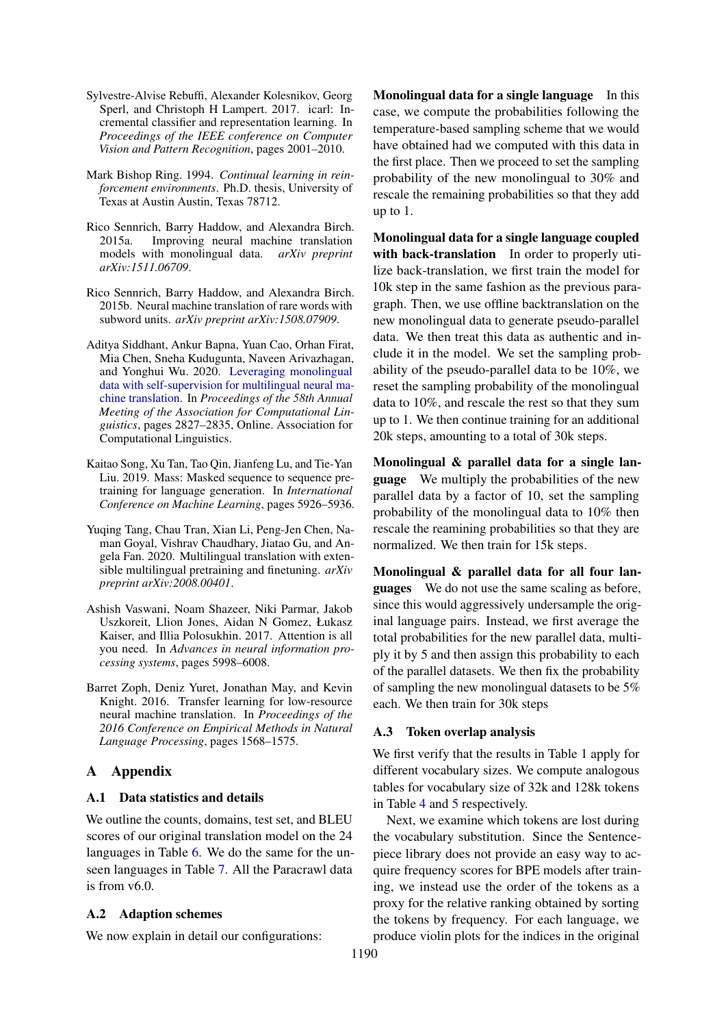- <span id="page-6-1"></span>Sylvestre-Alvise Rebuffi, Alexander Kolesnikov, Georg Sperl, and Christoph H Lampert. 2017. icarl: Incremental classifier and representation learning. In *Proceedings of the IEEE conference on Computer Vision and Pattern Recognition*, pages 2001–2010.
- <span id="page-6-0"></span>Mark Bishop Ring. 1994. *Continual learning in reinforcement environments*. Ph.D. thesis, University of Texas at Austin Austin, Texas 78712.
- <span id="page-6-8"></span>Rico Sennrich, Barry Haddow, and Alexandra Birch. 2015a. Improving neural machine translation models with monolingual data. *arXiv preprint arXiv:1511.06709*.
- <span id="page-6-2"></span>Rico Sennrich, Barry Haddow, and Alexandra Birch. 2015b. Neural machine translation of rare words with subword units. *arXiv preprint arXiv:1508.07909*.
- <span id="page-6-6"></span>Aditya Siddhant, Ankur Bapna, Yuan Cao, Orhan Firat, Mia Chen, Sneha Kudugunta, Naveen Arivazhagan, and Yonghui Wu. 2020. [Leveraging monolingual](https://doi.org/10.18653/v1/2020.acl-main.252) [data with self-supervision for multilingual neural ma](https://doi.org/10.18653/v1/2020.acl-main.252)[chine translation.](https://doi.org/10.18653/v1/2020.acl-main.252) In *Proceedings of the 58th Annual Meeting of the Association for Computational Linguistics*, pages 2827–2835, Online. Association for Computational Linguistics.
- <span id="page-6-7"></span>Kaitao Song, Xu Tan, Tao Qin, Jianfeng Lu, and Tie-Yan Liu. 2019. Mass: Masked sequence to sequence pretraining for language generation. In *International Conference on Machine Learning*, pages 5926–5936.
- <span id="page-6-3"></span>Yuqing Tang, Chau Tran, Xian Li, Peng-Jen Chen, Naman Goyal, Vishrav Chaudhary, Jiatao Gu, and Angela Fan. 2020. Multilingual translation with extensible multilingual pretraining and finetuning. *arXiv preprint arXiv:2008.00401*.
- <span id="page-6-5"></span>Ashish Vaswani, Noam Shazeer, Niki Parmar, Jakob Uszkoreit, Llion Jones, Aidan N Gomez, Łukasz Kaiser, and Illia Polosukhin. 2017. Attention is all you need. In *Advances in neural information processing systems*, pages 5998–6008.
- <span id="page-6-4"></span>Barret Zoph, Deniz Yuret, Jonathan May, and Kevin Knight. 2016. Transfer learning for low-resource neural machine translation. In *Proceedings of the 2016 Conference on Empirical Methods in Natural Language Processing*, pages 1568–1575.

# A Appendix

# A.1 Data statistics and details

We outline the counts, domains, test set, and BLEU scores of our original translation model on the 24 languages in Table [6.](#page-8-0) We do the same for the unseen languages in Table [7.](#page-8-1) All the Paracrawl data is from v6.0.

# A.2 Adaption schemes

We now explain in detail our configurations:

Monolingual data for a single language In this case, we compute the probabilities following the temperature-based sampling scheme that we would have obtained had we computed with this data in the first place. Then we proceed to set the sampling probability of the new monolingual to 30% and rescale the remaining probabilities so that they add up to 1.

Monolingual data for a single language coupled with back-translation In order to properly utilize back-translation, we first train the model for 10k step in the same fashion as the previous paragraph. Then, we use offline backtranslation on the new monolingual data to generate pseudo-parallel data. We then treat this data as authentic and include it in the model. We set the sampling probability of the pseudo-parallel data to be 10%, we reset the sampling probability of the monolingual data to 10%, and rescale the rest so that they sum up to 1. We then continue training for an additional 20k steps, amounting to a total of 30k steps.

Monolingual & parallel data for a single language We multiply the probabilities of the new parallel data by a factor of 10, set the sampling probability of the monolingual data to 10% then rescale the reamining probabilities so that they are normalized. We then train for 15k steps.

Monolingual & parallel data for all four languages We do not use the same scaling as before, since this would aggressively undersample the original language pairs. Instead, we first average the total probabilities for the new parallel data, multiply it by 5 and then assign this probability to each of the parallel datasets. We then fix the probability of sampling the new monolingual datasets to be 5% each. We then train for 30k steps

# A.3 Token overlap analysis

We first verify that the results in Table 1 apply for different vocabulary sizes. We compute analogous tables for vocabulary size of 32k and 128k tokens in Table [4](#page-7-0) and [5](#page-7-1) respectively.

Next, we examine which tokens are lost during the vocabulary substitution. Since the Sentencepiece library does not provide an easy way to acquire frequency scores for BPE models after training, we instead use the order of the tokens as a proxy for the relative ranking obtained by sorting the tokens by frequency. For each language, we produce violin plots for the indices in the original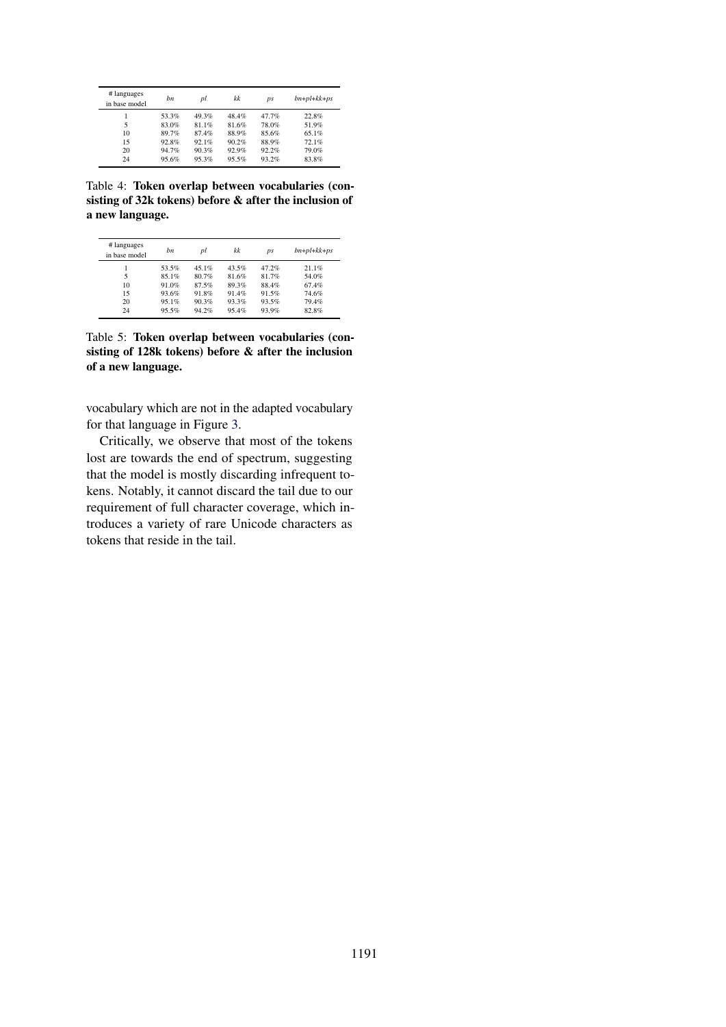<span id="page-7-0"></span>

| # languages<br>in base model | bn    | pl    | kk    | ps    | $bn + pl + kk + ps$ |
|------------------------------|-------|-------|-------|-------|---------------------|
|                              | 53.3% | 49.3% | 48.4% | 47.7% | 22.8%               |
| 5                            | 83.0% | 81.1% | 81.6% | 78.0% | 51.9%               |
| 10                           | 89.7% | 87.4% | 88.9% | 85.6% | 65.1%               |
| 15                           | 92.8% | 92.1% | 90.2% | 88.9% | 72.1%               |
| 20                           | 94.7% | 90.3% | 92.9% | 92.2% | 79.0%               |
| 24                           | 95.6% | 95.3% | 95.5% | 93.2% | 83.8%               |

Table 4: Token overlap between vocabularies (consisting of 32k tokens) before & after the inclusion of a new language.

<span id="page-7-1"></span>

| # languages<br>in base model | hn    | рl    | kk    | ps    | $bn + pl + kk + ps$ |
|------------------------------|-------|-------|-------|-------|---------------------|
|                              | 53.5% | 45.1% | 43.5% | 47.2% | 21.1%               |
| 5                            | 85.1% | 80.7% | 81.6% | 81.7% | 54.0%               |
| 10                           | 91.0% | 87.5% | 89.3% | 88.4% | 67.4%               |
| 15                           | 93.6% | 91.8% | 91.4% | 91.5% | 74.6%               |
| 20                           | 95.1% | 90.3% | 93.3% | 93.5% | 79.4%               |
| 24                           | 95.5% | 94.2% | 95.4% | 93.9% | 82.8%               |

Table 5: Token overlap between vocabularies (consisting of 128k tokens) before & after the inclusion of a new language.

vocabulary which are not in the adapted vocabulary for that language in Figure [3.](#page-8-2)

Critically, we observe that most of the tokens lost are towards the end of spectrum, suggesting that the model is mostly discarding infrequent tokens. Notably, it cannot discard the tail due to our requirement of full character coverage, which introduces a variety of rare Unicode characters as tokens that reside in the tail.